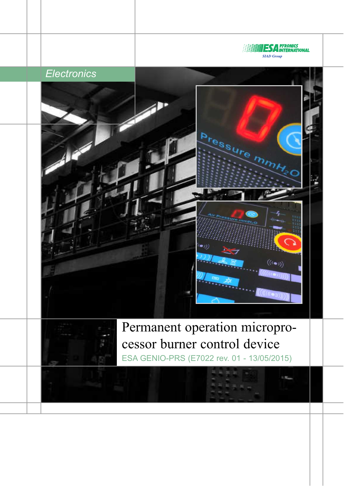

# *Electronics*





Permanent operation microprocessor burner control device ESA GENIO-PRS (E7022 rev. 01 - 13/05/2015)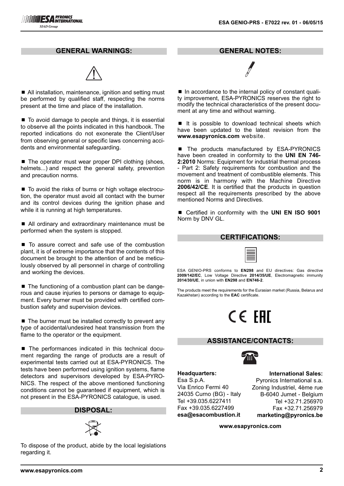#### **GENERAL WARNINGS:**



■ All installation, maintenance, ignition and setting must be performed by qualified staff, respecting the norms present at the time and place of the installation.

■ To avoid damage to people and things, it is essential to observe all the points indicated in this handbook. The reported indications do not exonerate the Client/User from observing general or specific laws concerning accidents and environmental safeguarding.

 $\blacksquare$  The operator must wear proper DPI clothing (shoes, helmets...) and respect the general safety, prevention and precaution norms.

■ To avoid the risks of burns or high voltage electrocution, the operator must avoid all contact with the burner and its control devices during the ignition phase and while it is running at high temperatures.

■ All ordinary and extraordinary maintenance must be performed when the system is stopped.

■ To assure correct and safe use of the combustion plant, it is of extreme importance that the contents of this document be brought to the attention of and be meticulously observed by all personnel in charge of controlling and working the devices.

■ The functioning of a combustion plant can be dangerous and cause injuries to persons or damage to equipment. Every burner must be provided with certified combustion safety and supervision devices.

■ The burner must be installed correctly to prevent any type of accidental/undesired heat transmission from the flame to the operator or the equipment.

■ The performances indicated in this technical document regarding the range of products are a result of experimental tests carried out at ESA-PYRONICS. The tests have been performed using ignition systems, flame detectors and supervisors developed by ESA-PYRO-NICS. The respect of the above mentioned functioning conditions cannot be guaranteed if equipment, which is not present in the ESA-PYRONICS catalogue, is used.

# **DISPOSAL:**



To dispose of the product, abide by the local legislations regarding it.

**GENERAL NOTES:**

■ In accordance to the internal policy of constant quality improvement, ESA-PYRONICS reserves the right to modify the technical characteristics of the present document at any time and without warning.

■ It is possible to download technical sheets which have been updated to the latest revision from the **www.esapyronics.com** website.

■ The products manufactured by ESA-PYRONICS have been created in conformity to the **UNI EN 746- 2:2010** Norms: Equipment for industrial thermal process - Part 2: Safety requirements for combustion and the movement and treatment of combustible elements. This norm is in harmony with the Machine Directive **2006/42/CE**. It is certified that the products in question respect all the requirements prescribed by the above mentioned Norms and Directives.

■ Certified in conformity with the **UNI EN ISO 9001** Norm by DNV GL.

#### **CERTIFICATIONS:**

| __      |  |
|---------|--|
| __<br>_ |  |
| __      |  |
| __      |  |
|         |  |
|         |  |

ESA GENIO-PRS conforms to **EN298** and EU directives: Gas directive **2009/142/EC**, Low Voltage Directive **2014/35/UE**, Electromagnetic immunity **2014/30/UE**, in union with **EN298** and **EN746-2**.

The products meet the requirements for the Eurasian market (Russia, Belarus and Kazakhstan) according to the **EAC** certificate.

# CE EAL

#### **ASSISTANCE/CONTACTS:**



**Headquarters:** Esa S.p.A. Via Enrico Fermi 40 24035 Curno (BG) - Italy Tel +39.035.6227411 Fax +39.035.6227499 **esa@esacombustion.it**

**International Sales:** Pyronics International s.a. Zoning Industriel, 4ème rue B-6040 Jumet - Belgium Tel +32.71.256970 Fax +32.71.256979 **marketing@pyronics.be**

**www.esapyronics.com**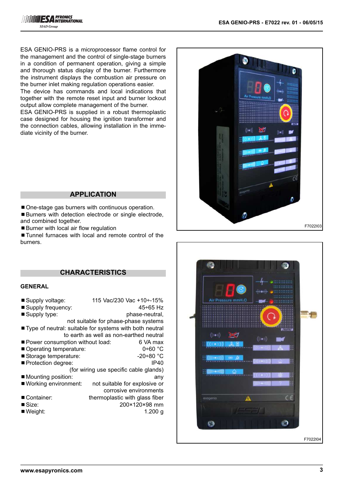ESA GENIO-PRS is a microprocessor flame control for the management and the control of single-stage burners in a condition of permanent operation, giving a simple and thorough status display of the burner. Furthermore the instrument displays the combustion air pressure on the burner inlet making regulation operations easier. The device has commands and local indications that

together with the remote reset input and burner lockout output allow complete management of the burner.

ESA GENIO-PRS is supplied in a robust thermoplastic case designed for housing the ignition transformer and the connection cables, allowing installation in the immediate vicinity of the burner.

#### **APPLICATION**

■ One-stage gas burners with continuous operation.

- ■Burners with detection electrode or single electrode, and combined together.
- Burner with local air flow regulation

■ Tunnel furnaces with local and remote control of the burners.

# **CHARACTERISTICS**

#### **GENERAL**

| Supply voltage:                 | 115 Vac/230 Vac +10÷-15%                                  |
|---------------------------------|-----------------------------------------------------------|
| ■ Supply frequency:             | $45 + 65$ Hz                                              |
| ■ Supply type:                  | phase-neutral,                                            |
|                                 | not suitable for phase-phase systems                      |
|                                 | ■ Type of neutral: suitable for systems with both neutral |
|                                 | to earth as well as non-earthed neutral                   |
| Power consumption without load: | 6 VA max                                                  |
| Operating temperature:          | $0+60$ °C                                                 |
| Storage temperature:            | $-20+80$ °C                                               |
| ■ Protection degree:            | IP40                                                      |
|                                 | (for wiring use specific cable glands)                    |
| ■ Mounting position:            | any                                                       |
| ■ Working environment:          | not suitable for explosive or                             |
|                                 | corrosive environments                                    |
| Container:                      | thermoplastic with glass fiber                            |
| ■ Size:                         | 200×120×98 mm                                             |
| ■ Weight:                       | 1.200 a                                                   |



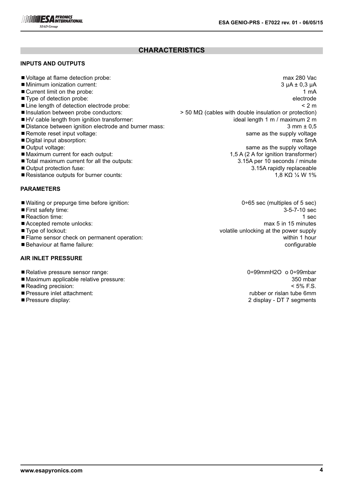

# **CHARACTERISTICS**

### **INPUTS AND OUTPUTS**

- Voltage at flame detection probe: max 280 Vac
- ■Minimum ionization current: 3 uA ± 0.3 μA
- 
- 
- 
- 
- 
- Distance between ignition electrode and burner mass: 3 mm ± 0,5
- 
- 
- 
- 
- $\blacksquare$  Total maximum current for all the outputs:
- 
- ■Resistance outputs for burner counts:  $1.8 KΩ$  /  $4 W 1%$

#### **PARAMETERS**

- Waiting or prepurge time before ignition: 0÷65 sec (multiples of 5 sec)
- 
- 
- 
- 
- ¾Flame sensor check on permanent operation: within 1 hour
- 

#### **AIR INLET PRESSURE**

- Relative pressure sensor range: 0÷99mmH2O o 0÷99mbar
- ■Maximum applicable relative pressure: 350 mbar 350 mbar 350 mbar 350 mbar
- 
- ■Pressure inlet attachment: rubber or rislan tube 6mm
- 

■ Current limit on the probe: 1 mA ■ Type of detection probe: electrode electrode electrode electrode electrode electrode electrode electrode electrode ■ Line length of detection electrode probe:  $\blacksquare$ <br>
■ Insulation between probe conductors:  $\blacksquare$  > 50 MΩ (cables with double insulation or protection)  $>$  50 MΩ (cables with double insulation or protection) ■HV cable length from ignition transformer: interesting the state of the length 1 m / maximum 2 m ■ Remote reset input voltage: same as the supply voltage: same as the supply voltage ■ Digital input absorption: max 5mA ■ Output voltage: same as the supply voltage: same as the supply voltage same as the supply voltage ■Maximum current for each output: 1,5 A (2 A for ignition transformer)<br>■Total maximum current for all the outputs: 3.15A per 10 seconds / minute ■ Output protection fuse: 3.15A rapidly replaceable

■ First safety time: 3-5-7-10 sec ■ Reaction time: 1 sec ■ Accepted remote unlocks: max 5 in 15 minutes ■Type of lockout: volatile unlocking at the power supply ■Behaviour at flame failure: configurable network at the state of the state of the state of the state of the state of the state of the state of the state of the state of the state of the state of the state of the state of

■ Reading precision: < 5% F.S. ■ Pressure display: 2 display - DT 7 segments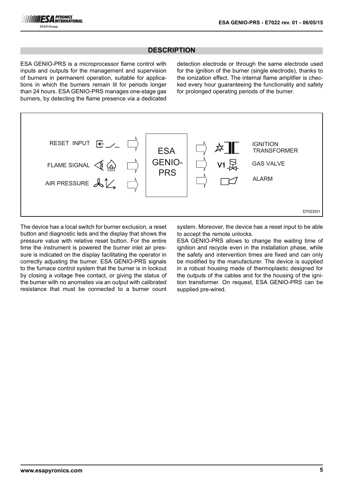# **DESCRIPTION**

ESA GENIO-PRS is a microprocessor flame control with inputs and outputs for the management and supervision of burners in permanent operation, suitable for applications in which the burners remain lit for periods longer than 24 hours. ESA GENIO-PRS manages one-stage gas burners, by detecting the flame presence via a dedicated

detection electrode or through the same electrode used for the ignition of the burner (single electrode), thanks to the ionization effect. The internal flame amplifier is checked every hour guaranteeing the functionality and safety for prolonged operating periods of the burner.



The device has a local switch for burner exclusion, a reset button and diagnostic leds and the display that shows the pressure value with relative reset button. For the entire time the instrument is powered the burner inlet air pressure is indicated on the display facilitating the operator in correctly adjusting the burner. ESA GENIO-PRS signals to the furnace control system that the burner is in lockout by closing a voltage free contact, or giving the status of the burner with no anomalies via an output with calibrated resistance that must be connected to a burner count system. Moreover, the device has a reset input to be able to accept the remote unlocks.

ESA GENIO-PRS allows to change the waiting time of ignition and recycle even in the installation phase, while the safety and intervention times are fixed and can only be modified by the manufacturer. The device is supplied in a robust housing made of thermoplastic designed for the outputs of the cables and for the housing of the ignition transformer. On request, ESA GENIO-PRS can be supplied pre-wired.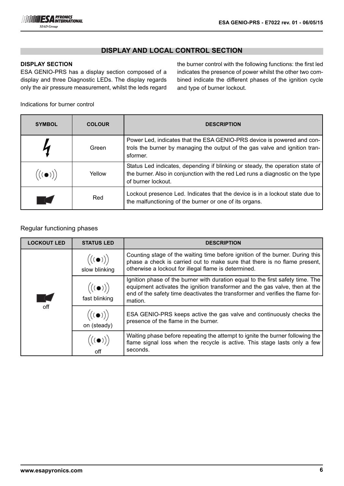# **DISPLAY AND LOCAL CONTROL SECTION**

# **DISPLAY SECTION**

ESA GENIO-PRS has a display section composed of a display and three Diagnostic LEDs. The display regards only the air pressure measurement, whilst the leds regard the burner control with the following functions: the first led indicates the presence of power whilst the other two combined indicate the different phases of the ignition cycle and type of burner lockout.

Indications for burner control

| <b>SYMBOL</b> | <b>COLOUR</b> | <b>DESCRIPTION</b>                                                                                                                                                                    |
|---------------|---------------|---------------------------------------------------------------------------------------------------------------------------------------------------------------------------------------|
|               | Green         | Power Led, indicates that the ESA GENIO-PRS device is powered and con-<br>trols the burner by managing the output of the gas valve and ignition tran-<br>sformer.                     |
|               | Yellow        | Status Led indicates, depending if blinking or steady, the operation state of<br>the burner. Also in conjunction with the red Led runs a diagnostic on the type<br>of burner lockout. |
|               | Red           | Lockout presence Led. Indicates that the device is in a lockout state due to<br>the malfunctioning of the burner or one of its organs.                                                |

### Regular functioning phases

| <b>LOCKOUT LED</b> | <b>STATUS LED</b>                                    | <b>DESCRIPTION</b>                                                                                                                                                                                                                                         |
|--------------------|------------------------------------------------------|------------------------------------------------------------------------------------------------------------------------------------------------------------------------------------------------------------------------------------------------------------|
|                    | $\bigl(\bigl((\bullet)\bigr)\bigr)$<br>slow blinking | Counting stage of the waiting time before ignition of the burner. During this<br>phase a check is carried out to make sure that there is no flame present,<br>otherwise a lockout for illegal flame is determined.                                         |
| $\mathcal{L}$      | $\Bigl(\bigl((\bullet)\bigr)\Bigr)$<br>fast blinking | Ignition phase of the burner with duration equal to the first safety time. The<br>equipment activates the ignition transformer and the gas valve, then at the<br>end of the safety time deactivates the transformer and verifies the flame for-<br>mation. |
| off                | $\Bigl(\bigl(\bigodot)\Bigr)\Bigr)$<br>on (steady)   | ESA GENIO-PRS keeps active the gas valve and continuously checks the<br>presence of the flame in the burner.                                                                                                                                               |
|                    |                                                      | Waiting phase before repeating the attempt to ignite the burner following the<br>flame signal loss when the recycle is active. This stage lasts only a few<br>seconds.                                                                                     |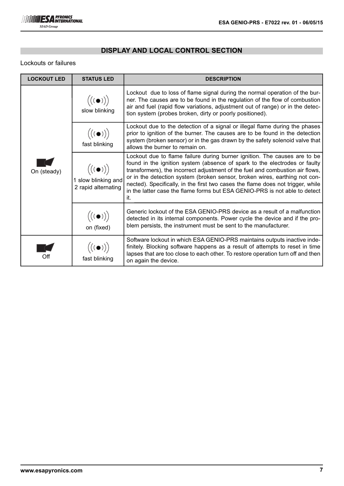# **DISPLAY AND LOCAL CONTROL SECTION**

## Lockouts or failures

| <b>LOCKOUT LED</b> | <b>STATUS LED</b>                                                        | <b>DESCRIPTION</b>                                                                                                                                                                                                                                                                                                                                                                                                                                                                             |  |
|--------------------|--------------------------------------------------------------------------|------------------------------------------------------------------------------------------------------------------------------------------------------------------------------------------------------------------------------------------------------------------------------------------------------------------------------------------------------------------------------------------------------------------------------------------------------------------------------------------------|--|
|                    | $\Bigl(\bigl((\bullet)\bigr)\Bigr)$<br>slow blinking                     | Lockout due to loss of flame signal during the normal operation of the bur-<br>ner. The causes are to be found in the regulation of the flow of combustion<br>air and fuel (rapid flow variations, adjustment out of range) or in the detec-<br>tion system (probes broken, dirty or poorly positioned).                                                                                                                                                                                       |  |
|                    | $\bigl( (\begin{matrix} (\bullet) \end{matrix}) \bigr)$<br>fast blinking | Lockout due to the detection of a signal or illegal flame during the phases<br>prior to ignition of the burner. The causes are to be found in the detection<br>system (broken sensor) or in the gas drawn by the safety solenoid valve that<br>allows the burner to remain on.                                                                                                                                                                                                                 |  |
| On (steady)        | $((\bullet))$<br>1 slow blinking and<br>2 rapid alternating              | Lockout due to flame failure during burner ignition. The causes are to be<br>found in the ignition system (absence of spark to the electrodes or faulty<br>transformers), the incorrect adjustment of the fuel and combustion air flows,<br>or in the detection system (broken sensor, broken wires, earthing not con-<br>nected). Specifically, in the first two cases the flame does not trigger, while<br>in the latter case the flame forms but ESA GENIO-PRS is not able to detect<br>it. |  |
|                    | $\bigl((\begin{matrix}(\bullet)\end{matrix})\bigr)$<br>on (fixed)        | Generic lockout of the ESA GENIO-PRS device as a result of a malfunction<br>detected in its internal components. Power cycle the device and if the pro-<br>blem persists, the instrument must be sent to the manufacturer.                                                                                                                                                                                                                                                                     |  |
| Off                | $\bigl( (\bullet) \bigr)$<br>fast blinking                               | Software lockout in which ESA GENIO-PRS maintains outputs inactive inde-<br>finitely. Blocking software happens as a result of attempts to reset in time<br>lapses that are too close to each other. To restore operation turn off and then<br>on again the device.                                                                                                                                                                                                                            |  |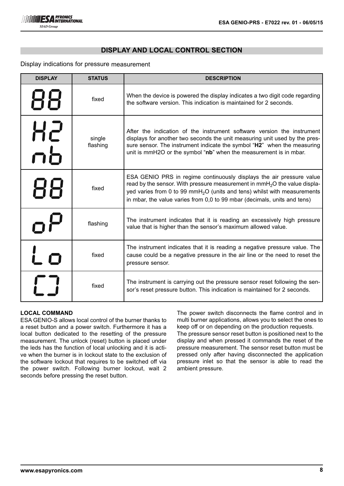### **DISPLAY AND LOCAL CONTROL SECTION**

#### Display indications for pressure measurement

| <b>DISPLAY</b> | <b>STATUS</b>      | <b>DESCRIPTION</b>                                                                                                                                                                                                                                                                                                       |
|----------------|--------------------|--------------------------------------------------------------------------------------------------------------------------------------------------------------------------------------------------------------------------------------------------------------------------------------------------------------------------|
| 88             | fixed              | When the device is powered the display indicates a two digit code regarding<br>the software version. This indication is maintained for 2 seconds.                                                                                                                                                                        |
| <u>H2</u>      | single<br>flashing | After the indication of the instrument software version the instrument<br>displays for another two seconds the unit measuring unit used by the pres-<br>sure sensor. The instrument indicate the symbol "H2" when the measuring<br>unit is mmH2O or the symbol "nb" when the measurement is in mbar.                     |
| 88             | fixed              | ESA GENIO PRS in regime continuously displays the air pressure value<br>read by the sensor. With pressure measurement in $m m H2O$ the value displa-<br>yed varies from 0 to 99 mmH <sub>2</sub> O (units and tens) whilst with measurements<br>in mbar, the value varies from 0,0 to 99 mbar (decimals, units and tens) |
|                | flashing           | The instrument indicates that it is reading an excessively high pressure<br>value that is higher than the sensor's maximum allowed value.                                                                                                                                                                                |
|                | fixed              | The instrument indicates that it is reading a negative pressure value. The<br>cause could be a negative pressure in the air line or the need to reset the<br>pressure sensor.                                                                                                                                            |
|                | fixed              | The instrument is carrying out the pressure sensor reset following the sen-<br>sor's reset pressure button. This indication is maintained for 2 seconds.                                                                                                                                                                 |

#### **LOCAL COMMAND**

ESA GENIO-S allows local control of the burner thanks to a reset button and a power switch. Furthermore it has a local button dedicated to the resetting of the pressure measurement. The unlock (reset) button is placed under the leds has the function of local unlocking and it is active when the burner is in lockout state to the exclusion of the software lockout that requires to be switched off via the power switch. Following burner lockout, wait 2 seconds before pressing the reset button.

The power switch disconnects the flame control and in multi burner applications, allows you to select the ones to keep off or on depending on the production requests.

The pressure sensor reset button is positioned next to the display and when pressed it commands the reset of the pressure measurement. The sensor reset button must be pressed only after having disconnected the application pressure inlet so that the sensor is able to read the ambient pressure.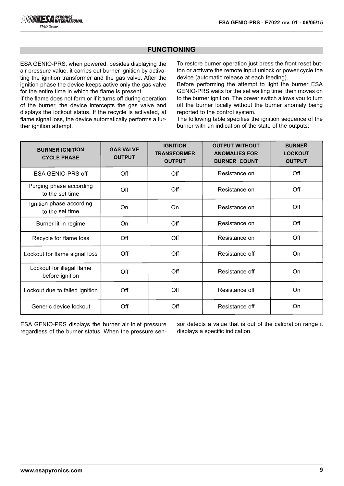# **FUNCTIONING**

ESA GENIO-PRS, when powered, besides displaying the air pressure value, it carries out burner ignition by activating the ignition transformer and the gas valve. After the ignition phase the device keeps active only the gas valve for the entire time in which the flame is present.

If the flame does not form or if it turns off during operation of the burner, the device intercepts the gas valve and displays the lockout status. If the recycle is activated, at flame signal loss, the device automatically performs a further ignition attempt.

To restore burner operation just press the front reset button or activate the remote input unlock or power cycle the device (automatic release at each feeding).

Before performing the attempt to light the burner ESA GENIO-PRS waits for the set waiting time, then moves on to the burner ignition. The power switch allows you to turn off the burner locally without the burner anomaly being reported to the control system.

The following table specifies the ignition sequence of the burner with an indication of the state of the outputs:

| <b>BURNER IGNITION</b><br><b>CYCLE PHASE</b> | <b>GAS VALVE</b><br><b>OUTPUT</b> | <b>IGNITION</b><br><b>TRANSFORMER</b><br><b>OUTPUT</b> | <b>OUTPUT WITHOUT</b><br><b>ANOMALIES FOR</b><br><b>BURNER COUNT</b> | <b>BURNER</b><br><b>LOCKOUT</b><br><b>OUTPUT</b> |
|----------------------------------------------|-----------------------------------|--------------------------------------------------------|----------------------------------------------------------------------|--------------------------------------------------|
| ESA GENIO-PRS off                            | Off                               | Off                                                    | Resistance on                                                        | Off                                              |
| Purging phase according<br>to the set time   | Off                               | Off                                                    | Resistance on                                                        | Off                                              |
| Ignition phase according<br>to the set time  | On                                | On                                                     | Resistance on                                                        | Off                                              |
| Burner lit in regime                         | On                                | Off                                                    | Resistance on                                                        | Off                                              |
| Recycle for flame loss                       | Off                               | Off                                                    | Resistance on                                                        | Off                                              |
| Lockout for flame signal loss                | Off                               | Off                                                    | Resistance off                                                       | On                                               |
| Lockout for illegal flame<br>before ignition | Off                               | Off                                                    | Resistance off                                                       | On                                               |
| Lockout due to failed ignition               | Off                               | Off                                                    | Resistance off                                                       | On                                               |
| Generic device lockout                       | Off                               | Off                                                    | Resistance off                                                       | On                                               |

ESA GENIO-PRS displays the burner air inlet pressure regardless of the burner status. When the pressure sensor detects a value that is out of the calibration range it displays a specific indication.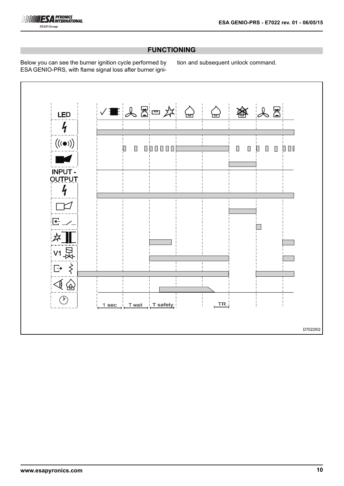

# **FUNCTIONING**

Below you can see the burner ignition cycle performed by ESA GENIO-PRS, with flame signal loss after burner ignition and subsequent unlock command.

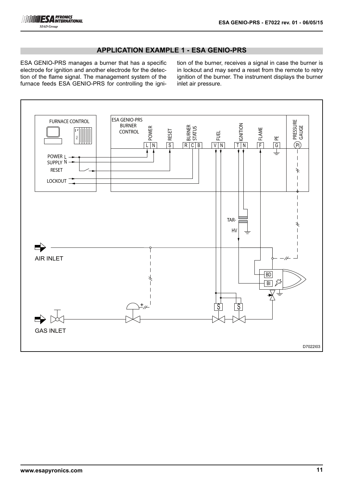# **APPLICATION EXAMPLE 1 - ESA GENIO-PRS**

ESA GENIO-PRS manages a burner that has a specific electrode for ignition and another electrode for the detection of the flame signal. The management system of the furnace feeds ESA GENIO-PRS for controlling the ignition of the burner, receives a signal in case the burner is in lockout and may send a reset from the remote to retry ignition of the burner. The instrument displays the burner inlet air pressure.

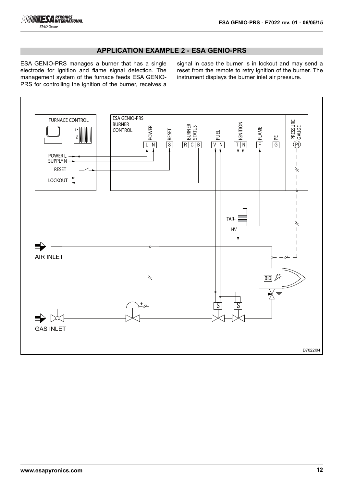# **APPLICATION EXAMPLE 2 - ESA GENIO-PRS**

ESA GENIO-PRS manages a burner that has a single electrode for ignition and flame signal detection. The management system of the furnace feeds ESA GENIO-PRS for controlling the ignition of the burner, receives a

signal in case the burner is in lockout and may send a reset from the remote to retry ignition of the burner. The instrument displays the burner inlet air pressure.

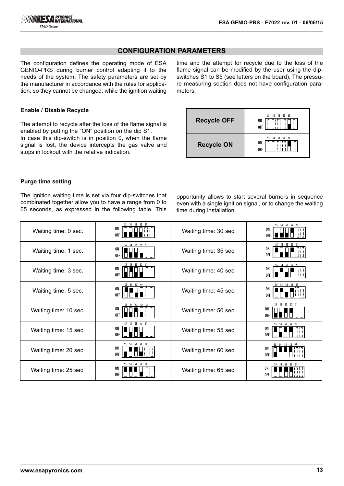# **CONFIGURATION PARAMETERS**

The configuration defines the operating mode of ESA GENIO-PRS during burner control adapting it to the needs of the system. The safety parameters are set by the manufacturer in accordance with the rules for application, so they cannot be changed; while the ignition waiting

#### **Enable / Disable Recycle**

The attempt to recycle after the loss of the flame signal is enabled by putting the "ON" position on the dip S1. In case this dip-switch is in position 0, when the flame signal is lost, the device intercepts the gas valve and stops in lockout with the relative indication.

time and the attempt for recycle due to the loss of the flame signal can be modified by the user using the dipswitches S1 to S5 (see letters on the board). The pressure measuring section does not have configuration parameters.

| <b>Recycle OFF</b> | S3<br>S2<br>S1<br>55<br>S4<br>ON<br>0FF |
|--------------------|-----------------------------------------|
| <b>Recycle ON</b>  | S1<br>S2<br>53<br>54<br>ON<br>0FF       |

#### **Purge time setting**

The ignition waiting time is set via four dip-switches that combinated together allow you to have a range from 0 to 65 seconds, as expressed in the following table. This

opportunity allows to start several burners in sequence even with a single ignition signal, or to change the waiting time during installation.

| Waiting time: 0 sec.  | S5 S4 S3 S2 S1<br>ON<br>0FF | Waiting time: 30 sec. | S5 S4 S3 S2 S1<br>ON<br><b>OFF</b>  |
|-----------------------|-----------------------------|-----------------------|-------------------------------------|
| Waiting time: 1 sec.  | S5 S4 S3 S2 S1<br>ON<br>0FF | Waiting time: 35 sec. | S5 S4 S3 S2 S1<br>ON<br><b>OFF</b>  |
| Waiting time: 3 sec.  | S5 S4 S3 S2 S1<br>ON<br>0FF | Waiting time: 40 sec. | S5 S4 S3 S2 S1<br>ON<br>0FF         |
| Waiting time: 5 sec.  | S5 S4 S3 S2 S1<br>ON<br>0FF | Waiting time: 45 sec. | S5 S4 S3 S2 S1<br>ON<br>0FF         |
| Waiting time: 10 sec. | S5 S4 S3 S2 S1<br>ON<br>0FF | Waiting time: 50 sec. | S5 S4 S3 S2 S1<br>ON.<br><b>OFF</b> |
| Waiting time: 15 sec. | S5 S4 S3 S2 S1<br>ON<br>0FF | Waiting time: 55 sec. | S5 S4 S3 S2 S1<br>ON<br><b>OFF</b>  |
| Waiting time: 20 sec. | S5 S4 S3 S2 S1<br>ON<br>0FF | Waiting time: 60 sec. | S5 S4 S3 S2 S1<br>ON<br>0FF         |
| Waiting time: 25 sec. | S5 S4 S3 S2 S1<br>ON<br>0FF | Waiting time: 65 sec. | S5 S4 S3 S2 S1<br>ON<br>0FF         |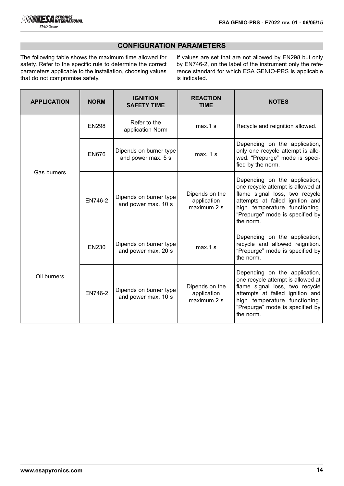

# **CONFIGURATION PARAMETERS**

The following table shows the maximum time allowed for safety. Refer to the specific rule to determine the correct parameters applicable to the installation, choosing values that do not compromise safety.

If values are set that are not allowed by EN298 but only by EN746-2, on the label of the instrument only the reference standard for which ESA GENIO-PRS is applicable is indicated.

| <b>APPLICATION</b> | <b>NORM</b>  | <b>IGNITION</b><br><b>SAFETY TIME</b>         | <b>REACTION</b><br><b>TIME</b>               | <b>NOTES</b>                                                                                                                                                                                                             |
|--------------------|--------------|-----------------------------------------------|----------------------------------------------|--------------------------------------------------------------------------------------------------------------------------------------------------------------------------------------------------------------------------|
| <b>EN298</b>       |              | Refer to the<br>application Norm              | $max.1$ s                                    | Recycle and reignition allowed.                                                                                                                                                                                          |
| Gas burners        | <b>EN676</b> | Dipends on burner type<br>and power max. 5 s  | max. 1 s                                     | Depending on the application,<br>only one recycle attempt is allo-<br>wed. "Prepurge" mode is speci-<br>fied by the norm.                                                                                                |
|                    | EN746-2      | Dipends on burner type<br>and power max. 10 s | Dipends on the<br>application<br>maximum 2 s | Depending on the application,<br>one recycle attempt is allowed at<br>flame signal loss, two recycle<br>attempts at failed ignition and<br>high temperature functioning.<br>"Prepurge" mode is specified by<br>the norm. |
| <b>EN230</b>       |              | Dipends on burner type<br>and power max. 20 s | $max.1$ s                                    | Depending on the application,<br>recycle and allowed reignition.<br>"Prepurge" mode is specified by<br>the norm.                                                                                                         |
| Oil burners        | EN746-2      | Dipends on burner type<br>and power max. 10 s | Dipends on the<br>application<br>maximum 2 s | Depending on the application,<br>one recycle attempt is allowed at<br>flame signal loss, two recycle<br>attempts at failed ignition and<br>high temperature functioning.<br>"Prepurge" mode is specified by<br>the norm. |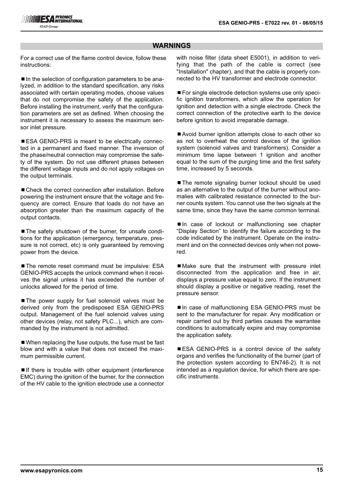#### **WARNINGS**

For a correct use of the flame control device, follow these instructions:

■ In the selection of configuration parameters to be analyzed, in addition to the standard specification, any risks associated with certain operating modes, choose values that do not compromise the safety of the application. Before installing the instrument, verify that the configuration parameters are set as defined. When choosing the instrument it is necessary to assess the maximum sensor inlet pressure.

■ ESA GENIO-PRS is meant to be electrically connected in a permanent and fixed manner. The inversion of the phase/neutral connection may compromise the safety of the system. Do not use different phases between the different voltage inputs and do not apply voltages on the output terminals.

■ Check the correct connection after installation. Before powering the instrument ensure that the voltage and frequency are correct. Ensure that loads do not have an absorption greater than the maximum capacity of the output contacts.

■ The safety shutdown of the burner, for unsafe conditions for the application (emergency, temperature, pressure is not correct, etc) is only guaranteed by removing power from the device.

■ The remote reset command must be impulsive: ESA GENIO-PRS accepts the unlock command when it receives the signal unless it has exceeded the number of unlocks allowed for the period of time.

■ The power supply for fuel solenoid valves must be derived only from the predisposed ESA GENIO-PRS output. Management of the fuel solenoid valves using other devices (relay, not safety PLC...), which are commanded by the instrument is not admitted.

■ When replacing the fuse outputs, the fuse must be fast blow and with a value that does not exceed the maximum permissible current.

 $\blacksquare$  If there is trouble with other equipment (interference EMC) during the ignition of the burner, for the connection of the HV cable to the ignition electrode use a connector with noise filter (data sheet E5001), in addition to verifying that the path of the cable is correct (see "Installation" chapter), and that the cable is properly connected to the HV transformer and electrode connector.

■ For single electrode detection systems use only specific ignition transformers, which allow the operation for ignition and detection with a single electrode. Check the correct connection of the protective earth to the device before ignition to avoid irreparable damage.

■Avoid burner ignition attempts close to each other so as not to overheat the control devices of the ignition system (solenoid valves and transformers). Consider a minimum time lapse between 1 ignition and another equal to the sum of the purging time and the first safety time, increased by 5 seconds.

■ The remote signaling burner lockout should be used as an alternative to the output of the burner without anomalies with calibrated resistance connected to the burner counts system. You cannot use the two signals at the same time, since they have the same common terminal.

■In case of lockout or malfunctioning see chapter "Display Section" to identify the failure according to the code indicated by the instrument. Operate on the instrument and on the connected devices only when not powered.

■Make sure that the instrument with pressure inlet disconnected from the application and free in air, displays a pressure value equal to zero. If the instrument should display a positive or negative reading, reset the pressure sensor.

■In case of malfunctioning ESA GENIO-PRS must be sent to the manufacturer for repair. Any modification or repair carried out by third parties causes the warrantee conditions to automatically expire and may compromise the application safety.

■ESA GENIO-PRS is a control device of the safety organs and verifies the functionality of the burner (part of the protection system according to EN746-2). It is not intended as a regulation device, for which there are specific instruments.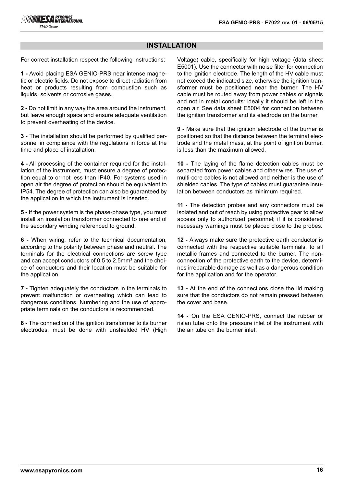# **INSTALLATION**

For correct installation respect the following instructions:

**1 -** Avoid placing ESA GENIO-PRS near intense magnetic or electric fields. Do not expose to direct radiation from heat or products resulting from combustion such as liquids, solvents or corrosive gases.

**2 -** Do not limit in any way the area around the instrument, but leave enough space and ensure adequate ventilation to prevent overheating of the device.

**3 -** The installation should be performed by qualified personnel in compliance with the regulations in force at the time and place of installation.

**4 -** All processing of the container required for the installation of the instrument, must ensure a degree of protection equal to or not less than IP40. For systems used in open air the degree of protection should be equivalent to IP54. The degree of protection can also be guaranteed by the application in which the instrument is inserted.

**5 -** If the power system is the phase-phase type, you must install an insulation transformer connected to one end of the secondary winding referenced to ground.

**6 -** When wiring, refer to the technical documentation, according to the polarity between phase and neutral. The terminals for the electrical connections are screw type and can accept conductors of 0.5 to 2.5mm² and the choice of conductors and their location must be suitable for the application.

**7 -** Tighten adequately the conductors in the terminals to prevent malfunction or overheating which can lead to dangerous conditions. Numbering and the use of appropriate terminals on the conductors is recommended.

**8 -** The connection of the ignition transformer to its burner electrodes, must be done with unshielded HV (High Voltage) cable, specifically for high voltage (data sheet E5001). Use the connector with noise filter for connection to the ignition electrode. The length of the HV cable must not exceed the indicated size, otherwise the ignition transformer must be positioned near the burner. The HV cable must be routed away from power cables or signals and not in metal conduits: ideally it should be left in the open air. See data sheet E5004 for connection between the ignition transformer and its electrode on the burner.

**9 -** Make sure that the ignition electrode of the burner is positioned so that the distance between the terminal electrode and the metal mass, at the point of ignition burner, is less than the maximum allowed.

**10 -** The laying of the flame detection cables must be separated from power cables and other wires. The use of multi-core cables is not allowed and neither is the use of shielded cables. The type of cables must guarantee insulation between conductors as minimum required.

**11 -** The detection probes and any connectors must be isolated and out of reach by using protective gear to allow access only to authorized personnel; if it is considered necessary warnings must be placed close to the probes.

**12 -** Always make sure the protective earth conductor is connected with the respective suitable terminals, to all metallic frames and connected to the burner. The nonconnection of the protective earth to the device, determines irreparable damage as well as a dangerous condition for the application and for the operator.

**13 -** At the end of the connections close the lid making sure that the conductors do not remain pressed between the cover and base.

**14 -** On the ESA GENIO-PRS, connect the rubber or rislan tube onto the pressure inlet of the instrument with the air tube on the burner inlet.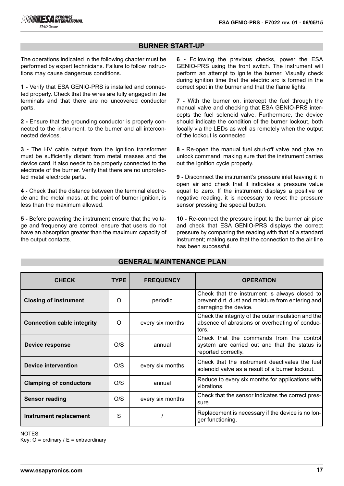# **BURNER START-UP**

The operations indicated in the following chapter must be performed by expert technicians. Failure to follow instructions may cause dangerous conditions.

**1 -** Verify that ESA GENIO-PRS is installed and connected properly. Check that the wires are fully engaged in the terminals and that there are no uncovered conductor parts.

**2 -** Ensure that the grounding conductor is properly connected to the instrument, to the burner and all interconnected devices.

**3 -** The HV cable output from the ignition transformer must be sufficiently distant from metal masses and the device card, it also needs to be properly connected to the electrode of the burner. Verify that there are no unprotected metal electrode parts.

**4 -** Check that the distance between the terminal electrode and the metal mass, at the point of burner ignition, is less than the maximum allowed.

**5 -** Before powering the instrument ensure that the voltage and frequency are correct; ensure that users do not have an absorption greater than the maximum capacity of the output contacts.

**6 -** Following the previous checks, power the ESA GENIO-PRS using the front switch. The instrument will perform an attempt to ignite the burner. Visually check during ignition time that the electric arc is formed in the correct spot in the burner and that the flame lights.

**7 -** With the burner on, intercept the fuel through the manual valve and checking that ESA GENIO-PRS intercepts the fuel solenoid valve. Furthermore, the device should indicate the condition of the burner lockout, both locally via the LEDs as well as remotely when the output of the lockout is connected

**8 -** Re-open the manual fuel shut-off valve and give an unlock command, making sure that the instrument carries out the ignition cycle properly.

**9 -** Disconnect the instrument's pressure inlet leaving it in open air and check that it indicates a pressure value equal to zero. If the instrument displays a positive or negative reading, it is necessary to reset the pressure sensor pressing the special button.

**10 -** Re-connect the pressure input to the burner air pipe and check that ESA GENIO-PRS displays the correct pressure by comparing the reading with that of a standard instrument; making sure that the connection to the air line has been successful.

| <b>CHECK</b>                      | <b>TYPE</b> | <b>FREQUENCY</b> | <b>OPERATION</b>                                                                                                           |
|-----------------------------------|-------------|------------------|----------------------------------------------------------------------------------------------------------------------------|
| <b>Closing of instrument</b>      | O           | periodic         | Check that the instrument is always closed to<br>prevent dirt, dust and moisture from entering and<br>damaging the device. |
| <b>Connection cable integrity</b> | $\Omega$    | every six months | Check the integrity of the outer insulation and the<br>absence of abrasions or overheating of conduc-<br>tors.             |
| Device response                   | O/S         | annual           | Check that the commands from the controll<br>system are carried out and that the status is<br>reported correctly.          |
| <b>Device intervention</b>        | O/S         | every six months | Check that the instrument deactivates the fuel<br>solenoid valve as a result of a burner lockout.                          |
| <b>Clamping of conductors</b>     | O/S         | annual           | Reduce to every six months for applications with<br>vibrations.                                                            |
| <b>Sensor reading</b>             | O/S         | every six months | Check that the sensor indicates the correct pres-<br>sure                                                                  |
| Instrument replacement            | S           |                  | Replacement is necessary if the device is no lon-<br>ger functioning.                                                      |

# **GENERAL MAINTENANCE PLAN**

NOTES:

Key:  $O =$  ordinary /  $E =$  extraordinary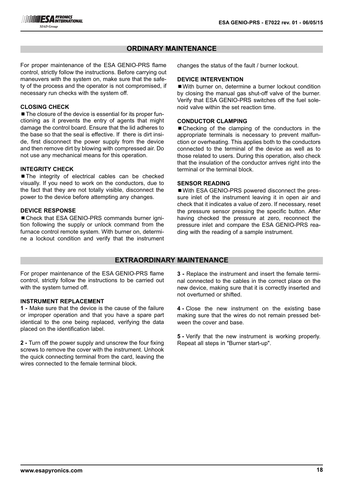# **ORDINARY MAINTENANCE**

For proper maintenance of the ESA GENIO-PRS flame control, strictly follow the instructions. Before carrying out maneuvers with the system on, make sure that the safety of the process and the operator is not compromised, if necessary run checks with the system off.

### **CLOSING CHECK**

■ The closure of the device is essential for its proper functioning as it prevents the entry of agents that might damage the control board. Ensure that the lid adheres to the base so that the seal is effective. If there is dirt inside, first disconnect the power supply from the device and then remove dirt by blowing with compressed air. Do not use any mechanical means for this operation.

#### **INTEGRITY CHECK**

■The integrity of electrical cables can be checked visually. If you need to work on the conductors, due to the fact that they are not totally visible, disconnect the power to the device before attempting any changes.

#### **DEVICE RESPONSE**

■ Check that ESA GENIO-PRS commands burner ignition following the supply or unlock command from the furnace control remote system. With burner on, determine a lockout condition and verify that the instrument changes the status of the fault / burner lockout.

#### **DEVICE INTERVENTION**

■ With burner on, determine a burner lockout condition by closing the manual gas shut-off valve of the burner. Verify that ESA GENIO-PRS switches off the fuel solenoid valve within the set reaction time.

#### **CONDUCTOR CLAMPING**

■Checking of the clamping of the conductors in the appropriate terminals is necessary to prevent malfunction or overheating. This applies both to the conductors connected to the terminal of the device as well as to those related to users. During this operation, also check that the insulation of the conductor arrives right into the terminal or the terminal block.

#### **SENSOR READING**

■ With ESA GENIO-PRS powered disconnect the pressure inlet of the instrument leaving it in open air and check that it indicates a value of zero. If necessary, reset the pressure sensor pressing the specific button. After having checked the pressure at zero, reconnect the pressure inlet and compare the ESA GENIO-PRS reading with the reading of a sample instrument.

# **EXTRAORDINARY MAINTENANCE**

For proper maintenance of the ESA GENIO-PRS flame control, strictly follow the instructions to be carried out with the system turned off.

#### **INSTRUMENT REPLACEMENT**

**1 -** Make sure that the device is the cause of the failure or improper operation and that you have a spare part identical to the one being replaced, verifying the data placed on the identification label.

**2 -** Turn off the power supply and unscrew the four fixing screws to remove the cover with the instrument. Unhook the quick connecting terminal from the card, leaving the wires connected to the female terminal block.

**3 -** Replace the instrument and insert the female terminal connected to the cables in the correct place on the new device, making sure that it is correctly inserted and not overturned or shifted.

**4 -** Close the new instrument on the existing base making sure that the wires do not remain pressed between the cover and base.

**5 -** Verify that the new instrument is working properly. Repeat all steps in "Burner start-up".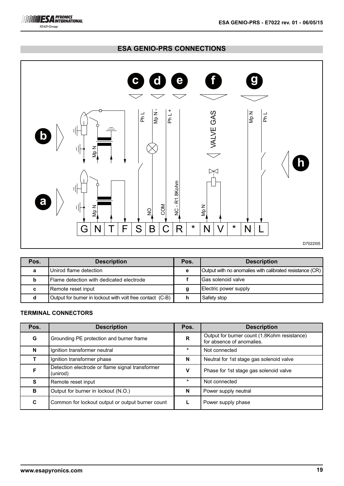



| Pos. | <b>Description</b>                                        | Pos. | <b>Description</b>                                       |
|------|-----------------------------------------------------------|------|----------------------------------------------------------|
| a    | Unirod flame detection                                    | е    | Output with no anomalies with calibrated resistance (CR) |
| b    | <b>IFlame detection with dedicated electrode</b>          |      | <b>Gas solenoid valve</b>                                |
| с    | Remote reset input                                        |      | Electric power supply                                    |
|      | Output for burner in lockout with volt free contact (C-B) |      | Safety stop                                              |

# **TERMINAL CONNECTORS**

**ESA PYRONICS SIAD Group** 

| Pos. | <b>Description</b>                                          | Pos.        | <b>Description</b>                                                        |
|------|-------------------------------------------------------------|-------------|---------------------------------------------------------------------------|
| G    | Grounding PE protection and burner frame                    | $\mathbf R$ | Output for burner count (1.8Kohm resistance)<br>for absence of anomalies. |
| N    | Ignition transformer neutral                                | $\star$     | Not connected                                                             |
|      | Ignition transformer phase                                  | N           | Neutral for 1st stage gas solenoid valve                                  |
| F    | Detection electrode or flame signal transformer<br>(unirod) | v           | Phase for 1st stage gas solenoid valve                                    |
| S    | Remote reset input                                          | $\star$     | Not connected                                                             |
| B    | Output for burner in lockout (N.O.)                         | N           | Power supply neutral                                                      |
| C    | Common for lockout output or output burner count            |             | Power supply phase                                                        |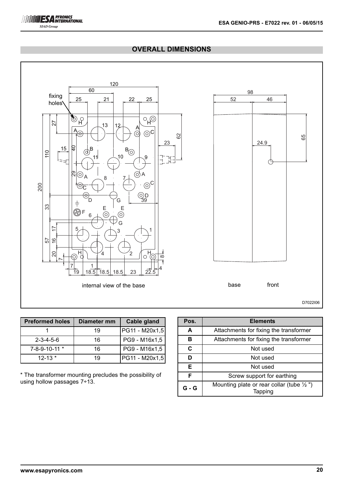# **OVERALL DIMENSIONS**



| <b>Preformed holes</b> | Diameter mm | Cable gland    |
|------------------------|-------------|----------------|
|                        | 19          | PG11 - M20x1,5 |
| $2 - 3 - 4 - 5 - 6$    | 16          | PG9 - M16x1,5  |
| 7-8-9-10-11 *          | 16          | PG9 - M16x1,5  |
| $12 - 13$ *            | 19          | PG11 - M20x1,5 |

\* The transformer mounting precludes the possibility of using hollow passages 7÷13.

| Pos.  | <b>Elements</b>                                                 |  |  |  |  |
|-------|-----------------------------------------------------------------|--|--|--|--|
| A     | Attachments for fixing the transformer                          |  |  |  |  |
| в     | Attachments for fixing the transformer                          |  |  |  |  |
| C     | Not used                                                        |  |  |  |  |
|       | Not used                                                        |  |  |  |  |
| Е     | Not used                                                        |  |  |  |  |
| F     | Screw support for earthing                                      |  |  |  |  |
| G - G | Mounting plate or rear collar (tube $\frac{1}{2}$ ")<br>Tapping |  |  |  |  |